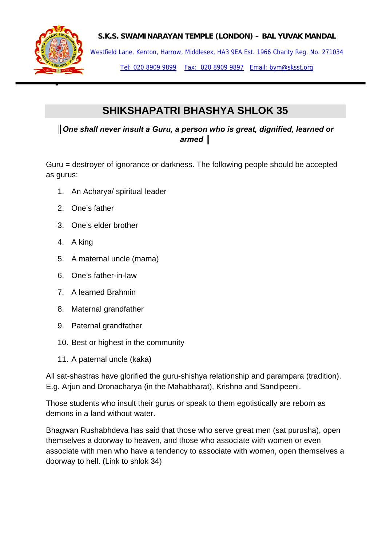

## **S.K.S. SWAMINARAYAN TEMPLE (LONDON) – BAL YUVAK MANDAL**

Westfield Lane, Kenton, Harrow, Middlesex, HA3 9EA Est. 1966 Charity Reg. No. 271034

Tel: 020 8909 9899 Fax: 020 8909 9897 Email: bym@sksst.org

## **SHIKSHAPATRI BHASHYA SHLOK 35**

*║One shall never insult a Guru, a person who is great, dignified, learned or armed ║*

Guru = destroyer of ignorance or darkness. The following people should be accepted as gurus:

- 1. An Acharya/ spiritual leader
- 2. One's father
- 3. One's elder brother
- 4. A king
- 5. A maternal uncle (mama)
- 6. One's father-in-law
- 7. A learned Brahmin
- 8. Maternal grandfather
- 9. Paternal grandfather
- 10. Best or highest in the community
- 11. A paternal uncle (kaka)

All sat-shastras have glorified the guru-shishya relationship and parampara (tradition). E.g. Arjun and Dronacharya (in the Mahabharat), Krishna and Sandipeeni.

Those students who insult their gurus or speak to them egotistically are reborn as demons in a land without water.

Bhagwan Rushabhdeva has said that those who serve great men (sat purusha), open themselves a doorway to heaven, and those who associate with women or even associate with men who have a tendency to associate with women, open themselves a doorway to hell. (Link to shlok 34)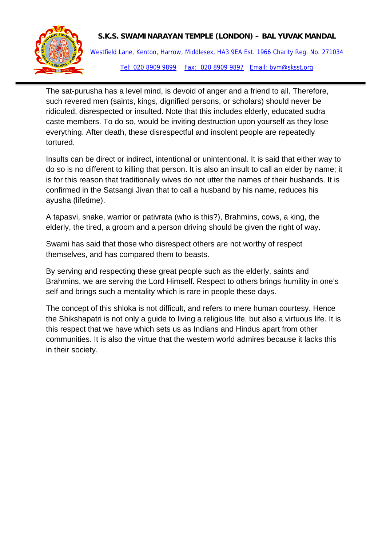

## **S.K.S. SWAMINARAYAN TEMPLE (LONDON) – BAL YUVAK MANDAL**

Westfield Lane, Kenton, Harrow, Middlesex, HA3 9EA Est. 1966 Charity Reg. No. 271034 Tel: 020 8909 9899 Fax: 020 8909 9897 Email: bym@sksst.org

The sat-purusha has a level mind, is devoid of anger and a friend to all. Therefore, such revered men (saints, kings, dignified persons, or scholars) should never be ridiculed, disrespected or insulted. Note that this includes elderly, educated sudra caste members. To do so, would be inviting destruction upon yourself as they lose everything. After death, these disrespectful and insolent people are repeatedly tortured.

Insults can be direct or indirect, intentional or unintentional. It is said that either way to do so is no different to killing that person. It is also an insult to call an elder by name; it is for this reason that traditionally wives do not utter the names of their husbands. It is confirmed in the Satsangi Jivan that to call a husband by his name, reduces his ayusha (lifetime).

A tapasvi, snake, warrior or pativrata (who is this?), Brahmins, cows, a king, the elderly, the tired, a groom and a person driving should be given the right of way.

Swami has said that those who disrespect others are not worthy of respect themselves, and has compared them to beasts.

By serving and respecting these great people such as the elderly, saints and Brahmins, we are serving the Lord Himself. Respect to others brings humility in one's self and brings such a mentality which is rare in people these days.

The concept of this shloka is not difficult, and refers to mere human courtesy. Hence the Shikshapatri is not only a guide to living a religious life, but also a virtuous life. It is this respect that we have which sets us as Indians and Hindus apart from other communities. It is also the virtue that the western world admires because it lacks this in their society.